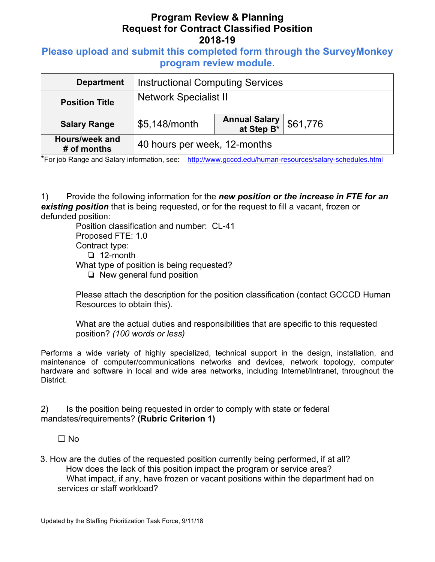# **Program Review & Planning Request for Contract Classified Position 2018-19**

## **Please upload and submit this completed form through the SurveyMonkey program review module.**

| <b>Department</b>             | <b>Instructional Computing Services</b> |                                     |          |
|-------------------------------|-----------------------------------------|-------------------------------------|----------|
| <b>Position Title</b>         | <b>Network Specialist II</b>            |                                     |          |
| <b>Salary Range</b>           | \$5,148/month                           | <b>Annual Salary<br/>at Step B*</b> | \$61,776 |
| Hours/week and<br># of months | 40 hours per week, 12-months            |                                     |          |

\*For job Range and Salary information, see: http://www.gcccd.edu/human-resources/salary-schedules.html

1) Provide the following information for the *new position or the increase in FTE for an existing position* that is being requested, or for the request to fill a vacant, frozen or defunded position:

Position classification and number: CL-41 Proposed FTE: 1.0 Contract type: ❏ 12-month What type of position is being requested? ❏ New general fund position

Please attach the description for the position classification (contact GCCCD Human Resources to obtain this).

What are the actual duties and responsibilities that are specific to this requested position? *(100 words or less)* 

Performs a wide variety of highly specialized, technical support in the design, installation, and maintenance of computer/communications networks and devices, network topology, computer hardware and software in local and wide area networks, including Internet/Intranet, throughout the District.

2) Is the position being requested in order to comply with state or federal mandates/requirements? **(Rubric Criterion 1)** 

☐ No

3. How are the duties of the requested position currently being performed, if at all? How does the lack of this position impact the program or service area? What impact, if any, have frozen or vacant positions within the department had on services or staff workload?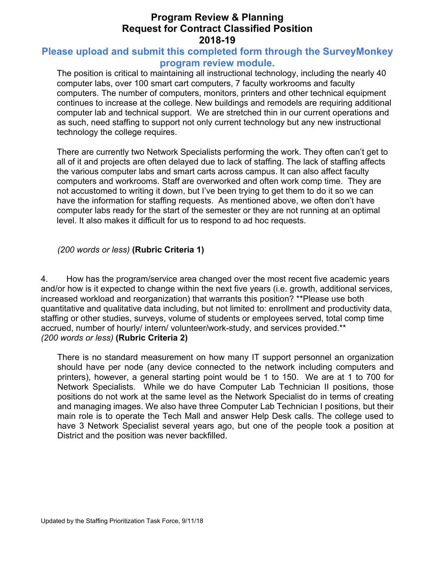## **Program Review & Planning Request for Contract Classified Position 2018-19**

#### **Please upload and submit this completed form through the SurveyMonkey program review module.**

The position is critical to maintaining all instructional technology, including the nearly 40 computer labs, over 100 smart cart computers, 7 faculty workrooms and faculty computers. The number of computers, monitors, printers and other technical equipment continues to increase at the college. New buildings and remodels are requiring additional computer lab and technical support. We are stretched thin in our current operations and as such, need staffing to support not only current technology but any new instructional technology the college requires.

There are currently two Network Specialists performing the work. They often can't get to all of it and projects are often delayed due to lack of staffing. The lack of staffing affects the various computer labs and smart carts across campus. It can also affect faculty computers and workrooms. Staff are overworked and often work comp time. They are not accustomed to writing it down, but I've been trying to get them to do it so we can have the information for staffing requests. As mentioned above, we often don't have computer labs ready for the start of the semester or they are not running at an optimal level. It also makes it difficult for us to respond to ad hoc requests.

*(200 words or less)* **(Rubric Criteria 1)**

4. How has the program/service area changed over the most recent five academic years and/or how is it expected to change within the next five years (i.e. growth, additional services, increased workload and reorganization) that warrants this position? \*\*Please use both quantitative and qualitative data including, but not limited to: enrollment and productivity data, staffing or other studies, surveys, volume of students or employees served, total comp time accrued, number of hourly/ intern/ volunteer/work-study, and services provided.\*\* *(200 words or less)* **(Rubric Criteria 2)**

There is no standard measurement on how many IT support personnel an organization should have per node (any device connected to the network including computers and printers), however, a general starting point would be 1 to 150. We are at 1 to 700 for Network Specialists. While we do have Computer Lab Technician II positions, those positions do not work at the same level as the Network Specialist do in terms of creating and managing images. We also have three Computer Lab Technician I positions, but their main role is to operate the Tech Mall and answer Help Desk calls. The college used to have 3 Network Specialist several years ago, but one of the people took a position at District and the position was never backfilled.